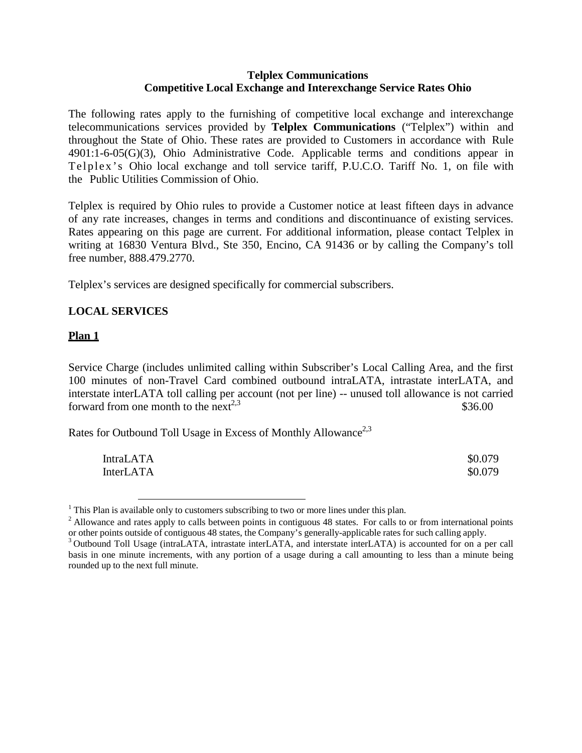## **Telplex Communications Competitive Local Exchange and Interexchange Service Rates Ohio**

The following rates apply to the furnishing of competitive local exchange and interexchange telecommunications services provided by **Telplex Communications** ("Telplex") within and throughout the State of Ohio. These rates are provided to Customers in accordance with Rule 4901:1-6-05(G)(3), Ohio Administrative Code. Applicable terms and conditions appear in Telplex's Ohio local exchange and toll service tariff, P.U.C.O. Tariff No. 1, on file with the Public Utilities Commission of Ohio.

Telplex is required by Ohio rules to provide a Customer notice at least fifteen days in advance of any rate increases, changes in terms and conditions and discontinuance of existing services. Rates appearing on this page are current. For additional information, please contact Telplex in writing at 16830 Ventura Blvd., Ste 350, Encino, CA 91436 or by calling the Company's toll free number, 888.479.2770.

Telplex's services are designed specifically for commercial subscribers.

# **LOCAL SERVICES**

# **Plan 1**

Service Charge (includes unlimited calling within Subscriber's Local Calling Area, and the first 100 minutes of non-Travel Card combined outbound intraLATA, intrastate interLATA, and interstate interLATA toll calling per account (not per line) -- unused toll allowance is not carried forward from one month to the next<sup>2,3</sup>  $$36.00$ 

Rates for Outbound Toll Usage in Excess of Monthly Allowance<sup>2,3</sup>

| <b>IntraLATA</b> | \$0.079 |
|------------------|---------|
| <b>InterLATA</b> | \$0.079 |

 $<sup>1</sup>$  This Plan is available only to customers subscribing to two or more lines under this plan.</sup>

 $2$  Allowance and rates apply to calls between points in contiguous 48 states. For calls to or from international points or other points outside of contiguous 48 states, the Company's generally-applicable rates for such c

<sup>&</sup>lt;sup>3</sup> Outbound Toll Usage (intraLATA, intrastate interLATA, and interstate interLATA) is accounted for on a per call basis in one minute increments, with any portion of a usage during a call amounting to less than a minute being rounded up to the next full minute.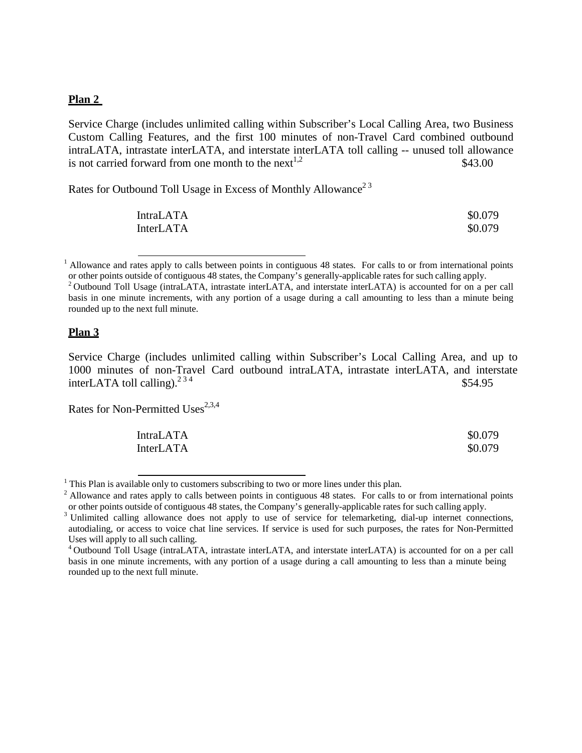#### **Plan 2**

Service Charge (includes unlimited calling within Subscriber's Local Calling Area, two Business Custom Calling Features, and the first 100 minutes of non-Travel Card combined outbound intraLATA, intrastate interLATA, and interstate interLATA toll calling -- unused toll allowance is not carried forward from one month to the  $next^{1,2}$  \$43.00

Rates for Outbound Toll Usage in Excess of Monthly Allowance<sup>23</sup>

| <b>IntraLATA</b> | \$0.079 |
|------------------|---------|
| <b>InterLATA</b> | \$0.079 |

<sup>1</sup> Allowance and rates apply to calls between points in contiguous 48 states. For calls to or from international points or other points outside of contiguous 48 states, the Company's generally-applicable rates for such c

### **Plan 3**

Service Charge (includes unlimited calling within Subscriber's Local Calling Area, and up to 1000 minutes of non-Travel Card outbound intraLATA, intrastate interLATA, and interstate interLATA toll calling). $2^{34}$  \$54.95

Rates for Non-Permitted Uses $^{2,3,4}$ 

| <b>IntraLATA</b> | \$0.079 |
|------------------|---------|
| <b>InterLATA</b> | \$0.079 |

 $1$  This Plan is available only to customers subscribing to two or more lines under this plan.

<sup>&</sup>lt;sup>2</sup> Outbound Toll Usage (intraLATA, intrastate interLATA, and interstate interLATA) is accounted for on a per call basis in one minute increments, with any portion of a usage during a call amounting to less than a minute being rounded up to the next full minute.

<sup>&</sup>lt;sup>2</sup> Allowance and rates apply to calls between points in contiguous 48 states. For calls to or from international points or other points outside of contiguous 48 states, the Company's generally-applicable rates for such c

<sup>&</sup>lt;sup>3</sup> Unlimited calling allowance does not apply to use of service for telemarketing, dial-up internet connections, autodialing, or access to voice chat line services. If service is used for such purposes, the rates for Non-Permitted Uses will apply to all such calling.<br><sup>4</sup> Outbound Toll Usage (intraLATA, intrastate interLATA, and interstate interLATA) is accounted for on a per call

basis in one minute increments, with any portion of a usage during a call amounting to less than a minute being rounded up to the next full minute.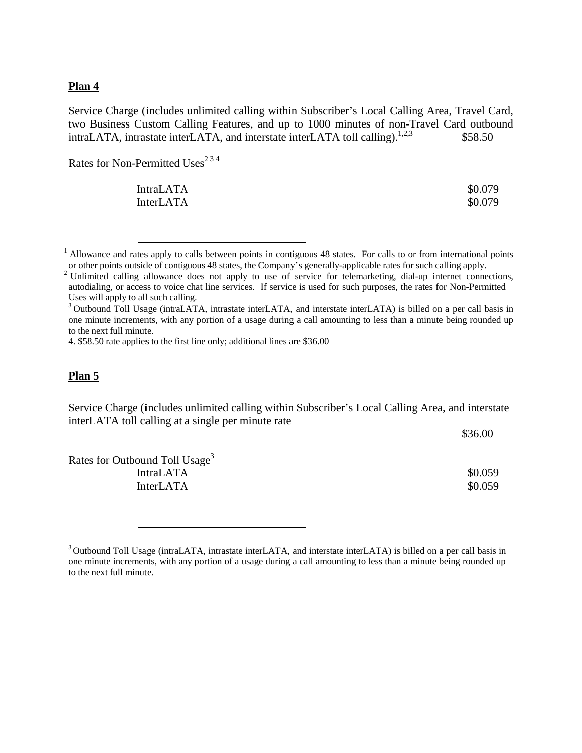#### **Plan 4**

Service Charge (includes unlimited calling within Subscriber's Local Calling Area, Travel Card, two Business Custom Calling Features, and up to 1000 minutes of non-Travel Card outbound intraLATA, intrastate interLATA, and interstate interLATA toll calling).<sup>1,2,3</sup> \$58.50

Rates for Non-Permitted Uses<sup>234</sup>

IntraLATA \$0.079 InterLATA \$0.079

<sup>1</sup> Allowance and rates apply to calls between points in contiguous 48 states. For calls to or from international points or other points outside of contiguous 48 states, the Company's generally-applicable rates for such c

4. \$58.50 rate applies to the first line only; additional lines are \$36.00

#### **Plan 5**

Service Charge (includes unlimited calling within Subscriber's Local Calling Area, and interstate interLATA toll calling at a single per minute rate

\$36.00

Rates for Outbound Toll Usage<sup>3</sup> IntraLATA \$0.059 InterLATA \$0.059

<sup>&</sup>lt;sup>2</sup> Unlimited calling allowance does not apply to use of service for telemarketing, dial-up internet connections, autodialing, or access to voice chat line services. If service is used for such purposes, the rates for Non-Permitted Uses will apply to all such calling.

<sup>&</sup>lt;sup>3</sup> Outbound Toll Usage (intraLATA, intrastate interLATA, and interstate interLATA) is billed on a per call basis in one minute increments, with any portion of a usage during a call amounting to less than a minute being rounded up to the next full minute.

<sup>&</sup>lt;sup>3</sup> Outbound Toll Usage (intraLATA, intrastate interLATA, and interstate interLATA) is billed on a per call basis in one minute increments, with any portion of a usage during a call amounting to less than a minute being rounded up to the next full minute.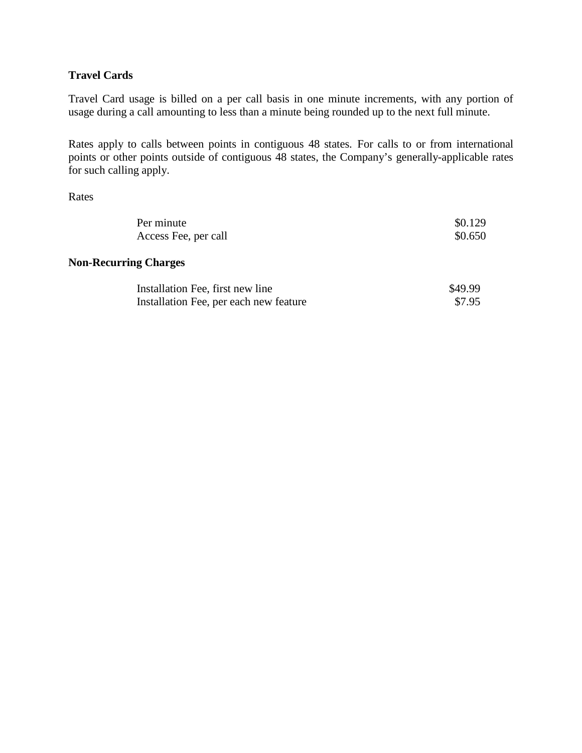## **Travel Cards**

Travel Card usage is billed on a per call basis in one minute increments, with any portion of usage during a call amounting to less than a minute being rounded up to the next full minute.

Rates apply to calls between points in contiguous 48 states. For calls to or from international points or other points outside of contiguous 48 states, the Company's generally-applicable rates for such calling apply.

Rates

| Per minute<br>Access Fee, per call     | \$0.129<br>\$0.650 |
|----------------------------------------|--------------------|
| <b>Non-Recurring Charges</b>           |                    |
| Installation Fee, first new line       | \$49.99            |
| Installation Fee, per each new feature | \$7.95             |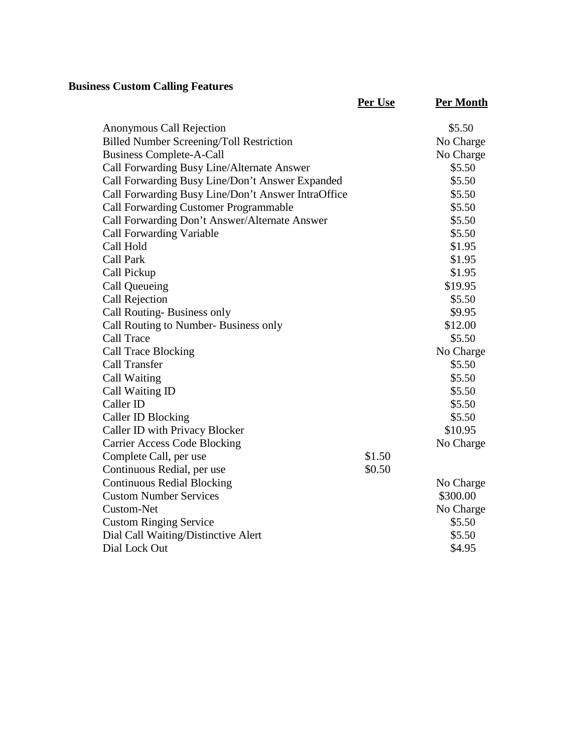# **Business Custom Calling Features**

|                                                    | Per Use | <b>Per Month</b> |
|----------------------------------------------------|---------|------------------|
| Anonymous Call Rejection                           |         | \$5.50           |
| <b>Billed Number Screening/Toll Restriction</b>    |         | No Charge        |
| <b>Business Complete-A-Call</b>                    |         | No Charge        |
| Call Forwarding Busy Line/Alternate Answer         |         | \$5.50           |
| Call Forwarding Busy Line/Don't Answer Expanded    |         | \$5.50           |
| Call Forwarding Busy Line/Don't Answer IntraOffice |         | \$5.50           |
| <b>Call Forwarding Customer Programmable</b>       |         | \$5.50           |
| Call Forwarding Don't Answer/Alternate Answer      |         | \$5.50           |
| <b>Call Forwarding Variable</b>                    |         | \$5.50           |
| Call Hold                                          |         | \$1.95           |
| <b>Call Park</b>                                   |         | \$1.95           |
| Call Pickup                                        |         | \$1.95           |
| Call Queueing                                      |         | \$19.95          |
| <b>Call Rejection</b>                              |         | \$5.50           |
| Call Routing-Business only                         |         | \$9.95           |
| Call Routing to Number- Business only              |         | \$12.00          |
| Call Trace                                         |         | \$5.50           |
| <b>Call Trace Blocking</b>                         |         | No Charge        |
| Call Transfer                                      |         | \$5.50           |
| Call Waiting                                       |         | \$5.50           |
| Call Waiting ID                                    |         | \$5.50           |
| Caller ID                                          |         | \$5.50           |
| Caller ID Blocking                                 |         | \$5.50           |
| Caller ID with Privacy Blocker                     |         | \$10.95          |
| <b>Carrier Access Code Blocking</b>                |         | No Charge        |
| Complete Call, per use                             | \$1.50  |                  |
| Continuous Redial, per use                         | \$0.50  |                  |
| <b>Continuous Redial Blocking</b>                  |         | No Charge        |
| <b>Custom Number Services</b>                      |         | \$300.00         |
| Custom-Net                                         |         | No Charge        |
| <b>Custom Ringing Service</b>                      |         | \$5.50           |
| Dial Call Waiting/Distinctive Alert                |         | \$5.50           |
| Dial Lock Out                                      |         | \$4.95           |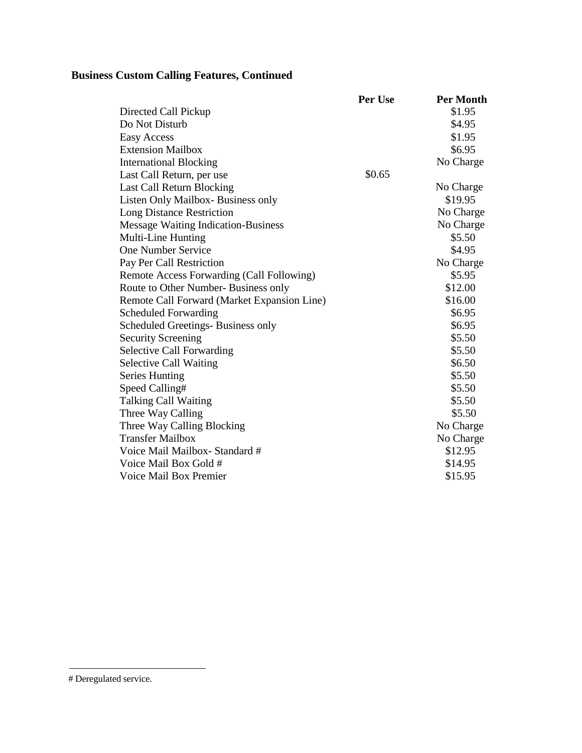# **Business Custom Calling Features, Continued**

|                                             | Per Use | <b>Per Month</b> |
|---------------------------------------------|---------|------------------|
| Directed Call Pickup                        |         | \$1.95           |
| Do Not Disturb                              |         | \$4.95           |
| Easy Access                                 |         | \$1.95           |
| <b>Extension Mailbox</b>                    |         | \$6.95           |
| <b>International Blocking</b>               |         | No Charge        |
| Last Call Return, per use                   | \$0.65  |                  |
| Last Call Return Blocking                   |         | No Charge        |
| Listen Only Mailbox- Business only          |         | \$19.95          |
| <b>Long Distance Restriction</b>            |         | No Charge        |
| <b>Message Waiting Indication-Business</b>  |         | No Charge        |
| Multi-Line Hunting                          |         | \$5.50           |
| <b>One Number Service</b>                   |         | \$4.95           |
| Pay Per Call Restriction                    |         | No Charge        |
| Remote Access Forwarding (Call Following)   |         | \$5.95           |
| Route to Other Number- Business only        |         | \$12.00          |
| Remote Call Forward (Market Expansion Line) |         | \$16.00          |
| <b>Scheduled Forwarding</b>                 |         | \$6.95           |
| Scheduled Greetings-Business only           |         | \$6.95           |
| <b>Security Screening</b>                   |         | \$5.50           |
| <b>Selective Call Forwarding</b>            |         | \$5.50           |
| <b>Selective Call Waiting</b>               |         | \$6.50           |
| <b>Series Hunting</b>                       |         | \$5.50           |
| Speed Calling#                              |         | \$5.50           |
| <b>Talking Call Waiting</b>                 |         | \$5.50           |
| Three Way Calling                           |         | \$5.50           |
| Three Way Calling Blocking                  |         | No Charge        |
| <b>Transfer Mailbox</b>                     |         | No Charge        |
| Voice Mail Mailbox-Standard #               |         | \$12.95          |
| Voice Mail Box Gold #                       |         | \$14.95          |
| <b>Voice Mail Box Premier</b>               |         | \$15.95          |

<span id="page-5-0"></span><sup>#</sup> Deregulated service.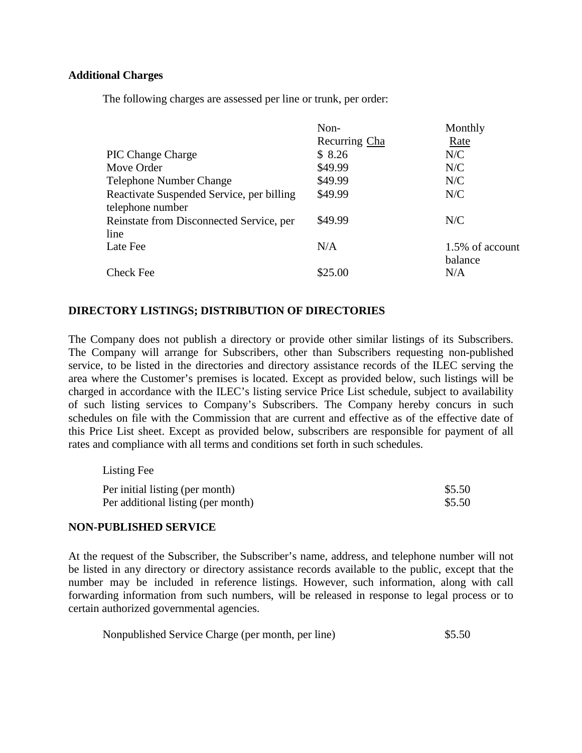## **Additional Charges**

The following charges are assessed per line or trunk, per order:

|                                           | $Non-$        | Monthly         |
|-------------------------------------------|---------------|-----------------|
|                                           | Recurring Cha | Rate            |
| <b>PIC Change Charge</b>                  | \$8.26        | N/C             |
| Move Order                                | \$49.99       | N/C             |
| <b>Telephone Number Change</b>            | \$49.99       | N/C             |
| Reactivate Suspended Service, per billing | \$49.99       | N/C             |
| telephone number                          |               |                 |
| Reinstate from Disconnected Service, per  | \$49.99       | N/C             |
| line                                      |               |                 |
| Late Fee                                  | N/A           | 1.5% of account |
|                                           |               | balance         |
| <b>Check Fee</b>                          | \$25.00       | N/A             |

## **DIRECTORY LISTINGS; DISTRIBUTION OF DIRECTORIES**

The Company does not publish a directory or provide other similar listings of its Subscribers. The Company will arrange for Subscribers, other than Subscribers requesting non-published service, to be listed in the directories and directory assistance records of the ILEC serving the area where the Customer's premises is located. Except as provided below, such listings will be charged in accordance with the ILEC's listing service Price List schedule, subject to availability of such listing services to Company's Subscribers. The Company hereby concurs in such schedules on file with the Commission that are current and effective as of the effective date of this Price List sheet. Except as provided below, subscribers are responsible for payment of all rates and compliance with all terms and conditions set forth in such schedules.

| Listing Fee                        |        |
|------------------------------------|--------|
| Per initial listing (per month)    | \$5.50 |
| Per additional listing (per month) | \$5.50 |

## **NON-PUBLISHED SERVICE**

At the request of the Subscriber, the Subscriber's name, address, and telephone number will not be listed in any directory or directory assistance records available to the public, except that the number may be included in reference listings. However, such information, along with call forwarding information from such numbers, will be released in response to legal process or to certain authorized governmental agencies.

| Nonpublished Service Charge (per month, per line) | \$5.50 |
|---------------------------------------------------|--------|
|                                                   |        |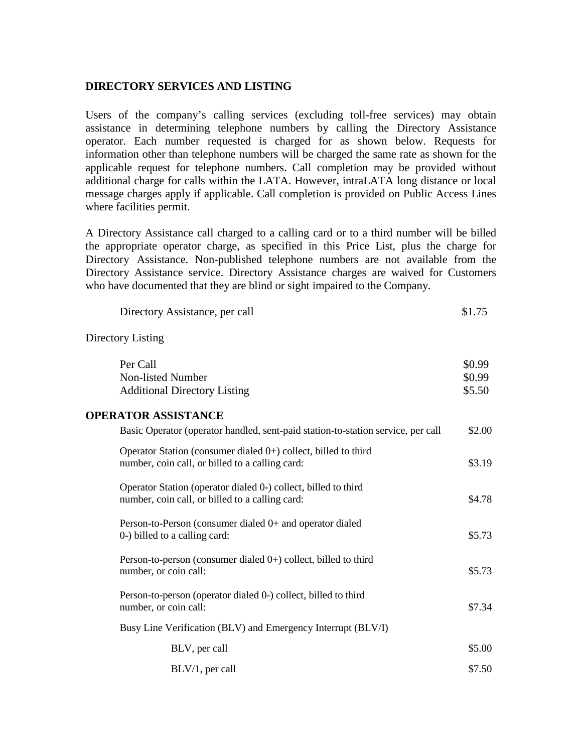### **DIRECTORY SERVICES AND LISTING**

Users of the company's calling services (excluding toll-free services) may obtain assistance in determining telephone numbers by calling the Directory Assistance operator. Each number requested is charged for as shown below. Requests for information other than telephone numbers will be charged the same rate as shown for the applicable request for telephone numbers. Call completion may be provided without additional charge for calls within the LATA. However, intraLATA long distance or local message charges apply if applicable. Call completion is provided on Public Access Lines where facilities permit.

A Directory Assistance call charged to a calling card or to a third number will be billed the appropriate operator charge, as specified in this Price List, plus the charge for Directory Assistance. Non-published telephone numbers are not available from the Directory Assistance service. Directory Assistance charges are waived for Customers who have documented that they are blind or sight impaired to the Company.

| Directory Assistance, per call | \$1.75 |
|--------------------------------|--------|
|--------------------------------|--------|

Directory Listing

| Per Call<br>Non-listed Number<br><b>Additional Directory Listing</b>                                                 | \$0.99<br>\$0.99<br>\$5.50 |
|----------------------------------------------------------------------------------------------------------------------|----------------------------|
| <b>OPERATOR ASSISTANCE</b>                                                                                           |                            |
| Basic Operator (operator handled, sent-paid station-to-station service, per call                                     | \$2.00                     |
| Operator Station (consumer dialed $0+$ ) collect, billed to third<br>number, coin call, or billed to a calling card: | \$3.19                     |
| Operator Station (operator dialed 0-) collect, billed to third<br>number, coin call, or billed to a calling card:    | \$4.78                     |
| Person-to-Person (consumer dialed 0+ and operator dialed<br>0-) billed to a calling card:                            | \$5.73                     |
| Person-to-person (consumer dialed $0+$ ) collect, billed to third<br>number, or coin call:                           | \$5.73                     |
| Person-to-person (operator dialed 0-) collect, billed to third<br>number, or coin call:                              | \$7.34                     |
| Busy Line Verification (BLV) and Emergency Interrupt (BLV/I)                                                         |                            |
| BLV, per call                                                                                                        | \$5.00                     |
| $BLV/1$ , per call                                                                                                   | \$7.50                     |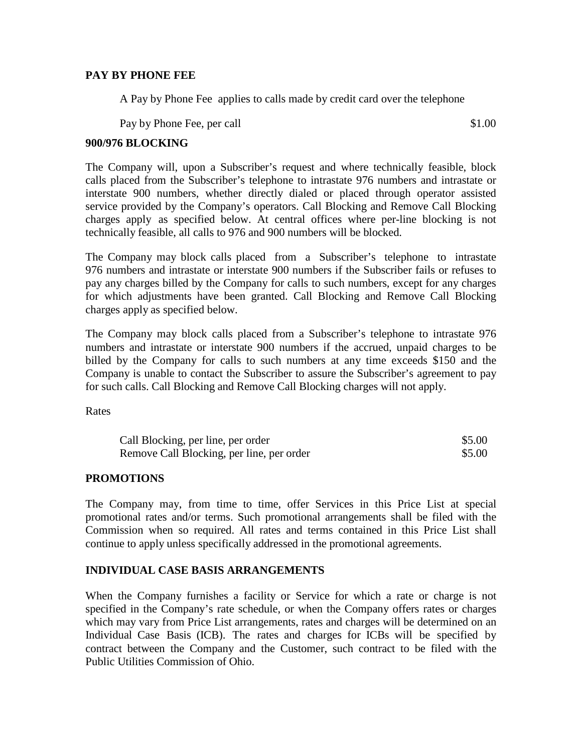#### **PAY BY PHONE FEE**

A Pay by Phone Fee applies to calls made by credit card over the telephone

Pay by Phone Fee, per call \$1.00

#### **900/976 BLOCKING**

The Company will, upon a Subscriber's request and where technically feasible, block calls placed from the Subscriber's telephone to intrastate 976 numbers and intrastate or interstate 900 numbers, whether directly dialed or placed through operator assisted service provided by the Company's operators. Call Blocking and Remove Call Blocking charges apply as specified below. At central offices where per-line blocking is not technically feasible, all calls to 976 and 900 numbers will be blocked.

The Company may block calls placed from a Subscriber's telephone to intrastate 976 numbers and intrastate or interstate 900 numbers if the Subscriber fails or refuses to pay any charges billed by the Company for calls to such numbers, except for any charges for which adjustments have been granted. Call Blocking and Remove Call Blocking charges apply as specified below.

The Company may block calls placed from a Subscriber's telephone to intrastate 976 numbers and intrastate or interstate 900 numbers if the accrued, unpaid charges to be billed by the Company for calls to such numbers at any time exceeds \$150 and the Company is unable to contact the Subscriber to assure the Subscriber's agreement to pay for such calls. Call Blocking and Remove Call Blocking charges will not apply.

**Rates** 

| Call Blocking, per line, per order        | \$5.00 |
|-------------------------------------------|--------|
| Remove Call Blocking, per line, per order | \$5.00 |

## **PROMOTIONS**

The Company may, from time to time, offer Services in this Price List at special promotional rates and/or terms. Such promotional arrangements shall be filed with the Commission when so required. All rates and terms contained in this Price List shall continue to apply unless specifically addressed in the promotional agreements.

## **INDIVIDUAL CASE BASIS ARRANGEMENTS**

When the Company furnishes a facility or Service for which a rate or charge is not specified in the Company's rate schedule, or when the Company offers rates or charges which may vary from Price List arrangements, rates and charges will be determined on an Individual Case Basis (ICB). The rates and charges for ICBs will be specified by contract between the Company and the Customer, such contract to be filed with the Public Utilities Commission of Ohio.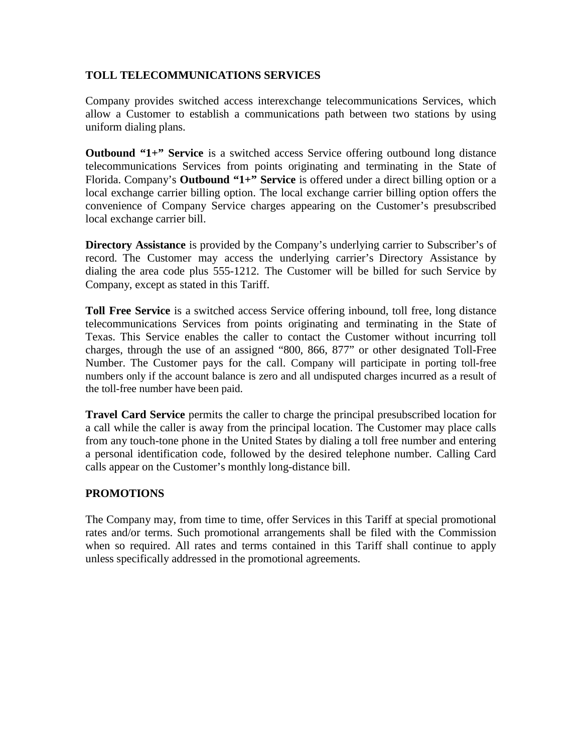## **TOLL TELECOMMUNICATIONS SERVICES**

Company provides switched access interexchange telecommunications Services, which allow a Customer to establish a communications path between two stations by using uniform dialing plans.

**Outbound "1+" Service** is a switched access Service offering outbound long distance telecommunications Services from points originating and terminating in the State of Florida. Company's **Outbound "1+" Service** is offered under a direct billing option or a local exchange carrier billing option. The local exchange carrier billing option offers the convenience of Company Service charges appearing on the Customer's presubscribed local exchange carrier bill.

**Directory Assistance** is provided by the Company's underlying carrier to Subscriber's of record. The Customer may access the underlying carrier's Directory Assistance by dialing the area code plus 555-1212. The Customer will be billed for such Service by Company, except as stated in this Tariff.

**Toll Free Service** is a switched access Service offering inbound, toll free, long distance telecommunications Services from points originating and terminating in the State of Texas. This Service enables the caller to contact the Customer without incurring toll charges, through the use of an assigned "800, 866, 877" or other designated Toll-Free Number. The Customer pays for the call. Company will participate in porting toll-free numbers only if the account balance is zero and all undisputed charges incurred as a result of the toll-free number have been paid.

**Travel Card Service** permits the caller to charge the principal presubscribed location for a call while the caller is away from the principal location. The Customer may place calls from any touch-tone phone in the United States by dialing a toll free number and entering a personal identification code, followed by the desired telephone number. Calling Card calls appear on the Customer's monthly long-distance bill.

# **PROMOTIONS**

The Company may, from time to time, offer Services in this Tariff at special promotional rates and/or terms. Such promotional arrangements shall be filed with the Commission when so required. All rates and terms contained in this Tariff shall continue to apply unless specifically addressed in the promotional agreements.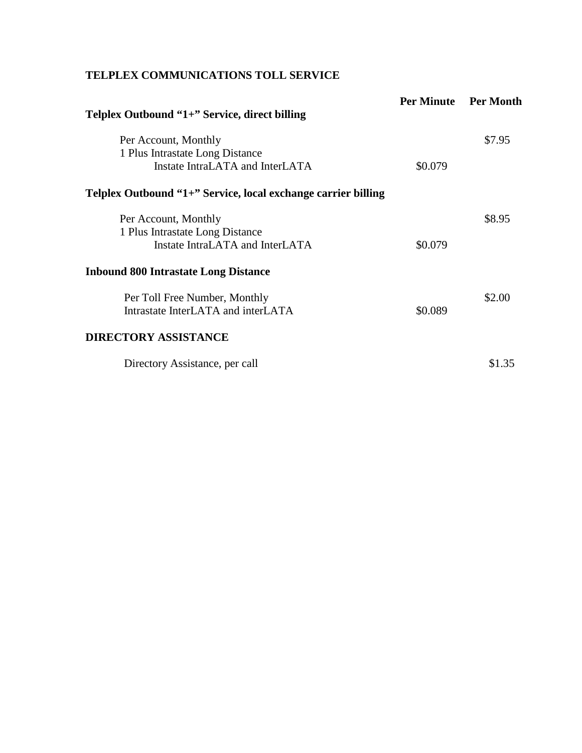# **TELPLEX COMMUNICATIONS TOLL SERVICE**

| Telplex Outbound "1+" Service, direct billing                      | <b>Per Minute</b> | <b>Per Month</b> |
|--------------------------------------------------------------------|-------------------|------------------|
| Per Account, Monthly                                               |                   | \$7.95           |
| 1 Plus Intrastate Long Distance<br>Instate IntraLATA and InterLATA | \$0.079           |                  |
| Telplex Outbound "1+" Service, local exchange carrier billing      |                   |                  |
| Per Account, Monthly                                               |                   | \$8.95           |
| 1 Plus Intrastate Long Distance                                    |                   |                  |
| Instate IntraLATA and InterLATA                                    | \$0.079           |                  |
| <b>Inbound 800 Intrastate Long Distance</b>                        |                   |                  |
| Per Toll Free Number, Monthly                                      |                   | \$2.00           |
| Intrastate InterLATA and interLATA                                 | \$0.089           |                  |
| <b>DIRECTORY ASSISTANCE</b>                                        |                   |                  |
| Directory Assistance, per call                                     |                   | \$1.35           |